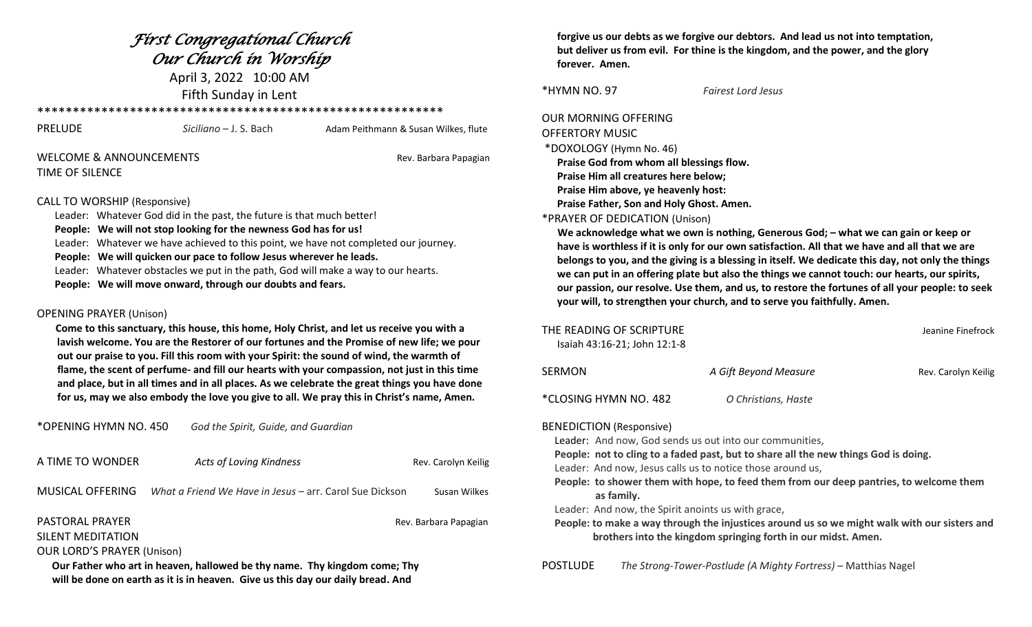## *First Congregational Church Our Church in Worship*

April 3, 2022 10:00 AM Fifth Sunday in Lent

\*\*\*\*\*\*\*\*\*\*\*\*\*\*\*\*\*\*\*\*\*\*\*\*\*\*\*\*\*\*\*\*\*\*\*\*\*\*\*\*\*\*\*\*\*\*\*\*\*\*\*\*\*\*\*\*\*

| PRELUDE                            | Siciliano – J. S. Bach | Adam Peithmann & Susan Wilkes, flute |
|------------------------------------|------------------------|--------------------------------------|
| <b>WELCOME &amp; ANNOUNCEMENTS</b> |                        | Rev. Barbara Papagian                |

# TIME OF SILENCE

### CALL TO WORSHIP (Responsive)

Leader: Whatever God did in the past, the future is that much better!

- **People: We will not stop looking for the newness God has for us!**
- Leader: Whatever we have achieved to this point, we have not completed our journey.
- **People: We will quicken our pace to follow Jesus wherever he leads.**
- Leader: Whatever obstacles we put in the path, God will make a way to our hearts.
- **People: We will move onward, through our doubts and fears.**

### OPENING PRAYER (Unison)

 **Come to this sanctuary, this house, this home, Holy Christ, and let us receive you with a lavish welcome. You are the Restorer of our fortunes and the Promise of new life; we pour out our praise to you. Fill this room with your Spirit: the sound of wind, the warmth of flame, the scent of perfume- and fill our hearts with your compassion, not just in this time** and place, but in all times and in all places. As we celebrate the great things you have done  **for us, may we also embody the love you give to all. We pray this in Christ's name, Amen.**

| *OPENING HYMN NO. 450                                                                                                                                        | God the Spirit, Guide, and Guardian                     |                       |  |  |  |
|--------------------------------------------------------------------------------------------------------------------------------------------------------------|---------------------------------------------------------|-----------------------|--|--|--|
| A TIME TO WONDER                                                                                                                                             | <b>Acts of Loving Kindness</b>                          | Rev. Carolyn Keilig   |  |  |  |
| MUSICAL OFFERING                                                                                                                                             | What a Friend We Have in Jesus – arr. Carol Sue Dickson | Susan Wilkes          |  |  |  |
| PASTORAL PRAYER<br>SILENT MEDITATION                                                                                                                         |                                                         | Rev. Barbara Papagian |  |  |  |
| <b>OUR LORD'S PRAYER (Unison)</b>                                                                                                                            |                                                         |                       |  |  |  |
| Our Father who art in heaven, hallowed be thy name. Thy kingdom come; Thy<br>will be done on earth as it is in heaven. Give us this day our daily bread. And |                                                         |                       |  |  |  |

 **forgive us our debts as we forgive our debtors. And lead us not into temptation, but deliver us from evil. For thine is the kingdom, and the power, and the glory forever. Amen.**

\*HYMN NO. 97 *Fairest Lord Jesus*

OUR MORNING OFFERING OFFERTORY MUSIC \*DOXOLOGY (Hymn No. 46)

> **Praise God from whom all blessings flow. Praise Him all creatures here below; Praise Him above, ye heavenly host:**

> **Praise Father, Son and Holy Ghost. Amen.**

### \*PRAYER OF DEDICATION (Unison)

 **We acknowledge what we own is nothing, Generous God; – what we can gain or keep or** have is worthless if it is only for our own satisfaction. All that we have and all that we are belongs to you, and the giving is a blessing in itself. We dedicate this day, not only the things  **we can put in an offering plate but also the things we cannot touch: our hearts, our spirits, our passion, our resolve. Use them, and us, to restore the fortunes of all your people: to seek your will, to strengthen your church, and to serve you faithfully. Amen.**

|                                                                                                                                                                                                                                                                                                                                                                                                                                                                                                                                                                                | THE READING OF SCRIPTURE<br>Isaiah 43:16-21; John 12:1-8 |                       | Jeanine Finefrock   |  |  |
|--------------------------------------------------------------------------------------------------------------------------------------------------------------------------------------------------------------------------------------------------------------------------------------------------------------------------------------------------------------------------------------------------------------------------------------------------------------------------------------------------------------------------------------------------------------------------------|----------------------------------------------------------|-----------------------|---------------------|--|--|
| SERMON                                                                                                                                                                                                                                                                                                                                                                                                                                                                                                                                                                         |                                                          | A Gift Beyond Measure | Rev. Carolyn Keilig |  |  |
|                                                                                                                                                                                                                                                                                                                                                                                                                                                                                                                                                                                | *CLOSING HYMN NO. 482                                    | O Christians, Haste   |                     |  |  |
| <b>BENEDICTION (Responsive)</b><br>Leader: And now, God sends us out into our communities,<br>People: not to cling to a faded past, but to share all the new things God is doing.<br>Leader: And now, Jesus calls us to notice those around us,<br>People: to shower them with hope, to feed them from our deep pantries, to welcome them<br>as family.<br>Leader: And now, the Spirit anoints us with grace,<br>People: to make a way through the injustices around us so we might walk with our sisters and<br>brothers into the kingdom springing forth in our midst. Amen. |                                                          |                       |                     |  |  |

POSTLUDE *The Strong-Tower-Postlude (A Mighty Fortress)* – Matthias Nagel